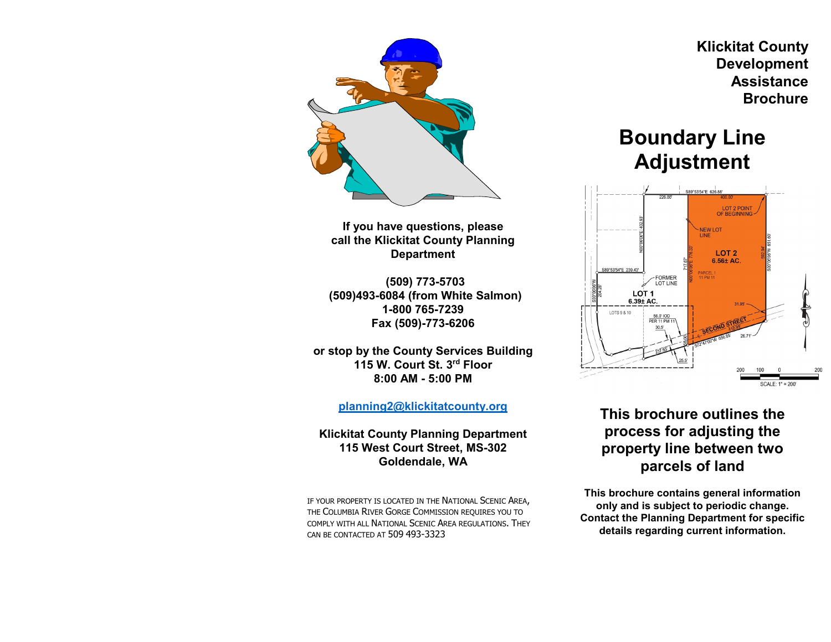

**If you have questions, please call the Klickitat County Planning Department**

**(509) 773-5703 (509)493-6084 (from White Salmon) 1-800 765-7239 Fax (509)-773-6206**

**or stop by the County Services Building 115 W. Court St. 3rd Floor 8:00 AM - 5:00 PM**

**[planning2@klickitatcounty.org](mailto:planning2@klickitatcounty.org)**

**Klickitat County Planning Department 115 West Court Street, MS-302 Goldendale, WA**

IF YOUR PROPERTY IS LOCATED IN THE NATIONAL SCENIC AREA, THE COLUMBIA RIVER GORGE COMMISSION REQUIRES YOU TO COMPLY WITH ALL NATIONAL SCENIC AREA REGULATIONS. THEY CAN BE CONTACTED AT 509 493-3323

 **Klickitat County Development Assistance Brochure**

# **Boundary Line Adjustment**



# **This brochure outlines the process for adjusting the property line between two parcels of land**

**This brochure contains general information only and is subject to periodic change. Contact the Planning Department for specific details regarding current information.**